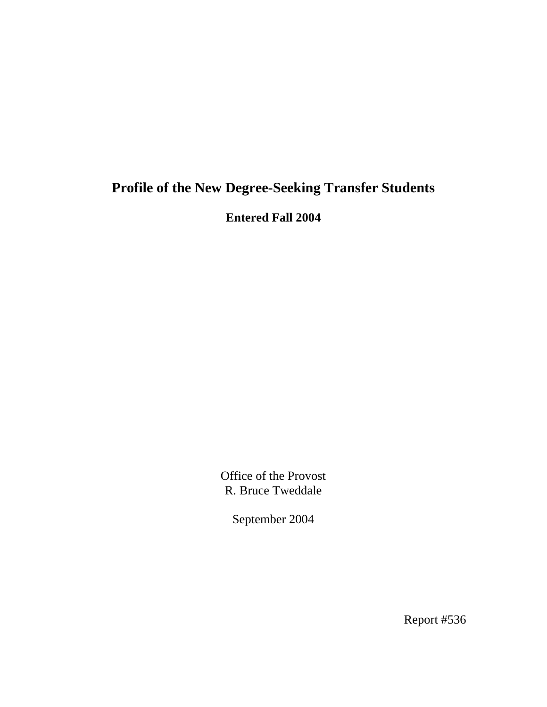# **Profile of the New Degree-Seeking Transfer Students**

**Entered Fall 2004** 

Office of the Provost R. Bruce Tweddale

September 2004

Report #536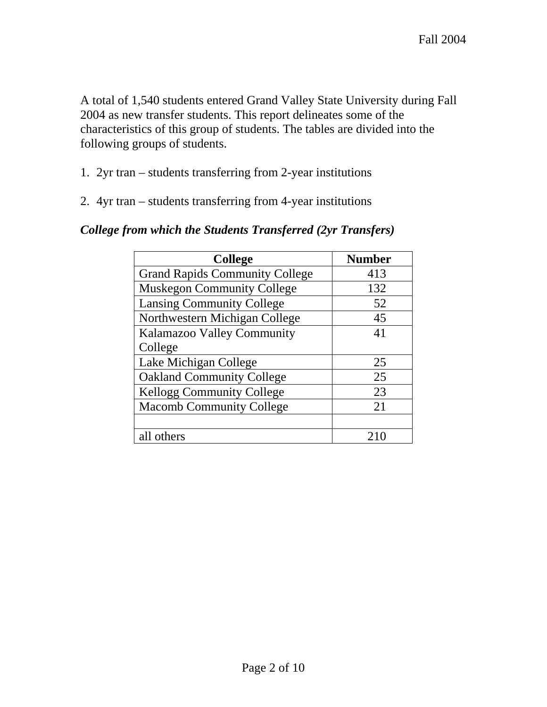A total of 1,540 students entered Grand Valley State University during Fall 2004 as new transfer students. This report delineates some of the characteristics of this group of students. The tables are divided into the following groups of students.

- 1. 2yr tran students transferring from 2-year institutions
- 2. 4yr tran students transferring from 4-year institutions

| <b>College</b>                        | <b>Number</b> |
|---------------------------------------|---------------|
| <b>Grand Rapids Community College</b> | 413           |
| <b>Muskegon Community College</b>     | 132           |
| <b>Lansing Community College</b>      | 52            |
| Northwestern Michigan College         | 45            |
| Kalamazoo Valley Community            | 41            |
| College                               |               |
| Lake Michigan College                 | 25            |
| <b>Oakland Community College</b>      | 25            |
| <b>Kellogg Community College</b>      | 23            |
| <b>Macomb Community College</b>       | 21            |
|                                       |               |
| all others                            |               |

#### *College from which the Students Transferred (2yr Transfers)*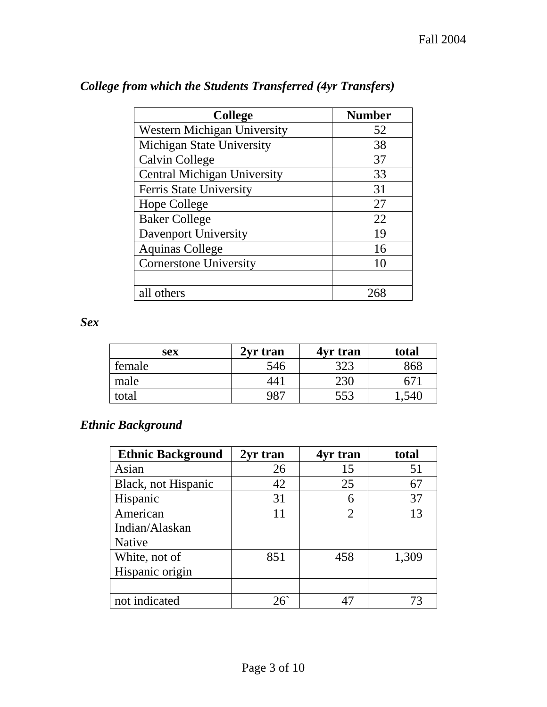| <b>College</b>                     | <b>Number</b> |
|------------------------------------|---------------|
| <b>Western Michigan University</b> | 52            |
| <b>Michigan State University</b>   | 38            |
| Calvin College                     | 37            |
| <b>Central Michigan University</b> | 33            |
| Ferris State University            | 31            |
| Hope College                       | 27            |
| <b>Baker College</b>               | 22            |
| Davenport University               | 19            |
| <b>Aquinas College</b>             | 16            |
| <b>Cornerstone University</b>      | 10            |
|                                    |               |
| all others                         |               |

# *College from which the Students Transferred (4yr Transfers)*

*Sex* 

| sex    | 2yr tran | 4yr tran        | total |
|--------|----------|-----------------|-------|
| female | 546      | 323             | 868   |
| male   | 44.      | 23 <sub>C</sub> | h /   |
| total  | 987      | 553             |       |

# *Ethnic Background*

| <b>Ethnic Background</b> | 2yr tran   | 4yr tran       | total |
|--------------------------|------------|----------------|-------|
| Asian                    | 26         | 15             | 51    |
| Black, not Hispanic      | 42         | 25             | 67    |
| Hispanic                 | 31         |                | 37    |
| American                 | 11         | $\overline{2}$ | 13    |
| Indian/Alaskan           |            |                |       |
| Native                   |            |                |       |
| White, not of            | 851        | 458            | 1,309 |
| Hispanic origin          |            |                |       |
|                          |            |                |       |
| not indicated            | $26^\circ$ | 47             | 73    |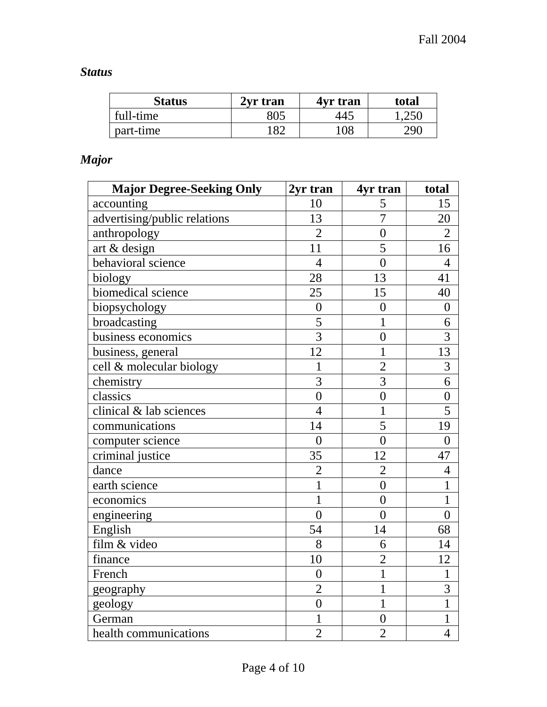# *Status*

| <b>Status</b> | 2yr tran | 4yr tran | total           |
|---------------|----------|----------|-----------------|
| full-time     | 805      | 445      | 0.250           |
| part-time     | 182      | 108      | 29 <sup>c</sup> |

# *Major*

| <b>Major Degree-Seeking Only</b> | 2yr tran         | 4yr tran         | total          |
|----------------------------------|------------------|------------------|----------------|
| accounting                       | 10               | 5                | 15             |
| advertising/public relations     | 13               | $\overline{7}$   | 20             |
| anthropology                     | $\overline{2}$   | $\overline{0}$   | $\overline{2}$ |
| art & design                     | 11               | $\overline{5}$   | 16             |
| behavioral science               | $\overline{4}$   | $\overline{0}$   | $\overline{4}$ |
| biology                          | 28               | 13               | 41             |
| biomedical science               | 25               | 15               | 40             |
| biopsychology                    | $\boldsymbol{0}$ | $\overline{0}$   | $\overline{0}$ |
| broadcasting                     | $\overline{5}$   | $\mathbf{1}$     | 6              |
| business economics               | $\overline{3}$   | $\overline{0}$   | 3              |
| business, general                | 12               | $\mathbf{1}$     | 13             |
| cell & molecular biology         | 1                | $\overline{2}$   | 3              |
| chemistry                        | $\overline{3}$   | $\overline{3}$   | 6              |
| classics                         | $\overline{0}$   | $\overline{0}$   | $\overline{0}$ |
| clinical & lab sciences          | $\overline{4}$   | $\mathbf{1}$     | 5              |
| communications                   | 14               | 5                | 19             |
| computer science                 | $\overline{0}$   | $\overline{0}$   | $\overline{0}$ |
| criminal justice                 | 35               | 12               | 47             |
| dance                            | $\overline{c}$   | $\overline{2}$   | $\overline{4}$ |
| earth science                    | $\mathbf{1}$     | $\overline{0}$   | $\mathbf{1}$   |
| economics                        | $\mathbf{1}$     | $\overline{0}$   | $\mathbf{1}$   |
| engineering                      | $\overline{0}$   | $\overline{0}$   | $\overline{0}$ |
| English                          | 54               | 14               | 68             |
| film & video                     | 8                | 6                | 14             |
| finance                          | 10               | $\overline{2}$   | 12             |
| French                           | $\overline{0}$   | $\overline{1}$   | $\mathbf{1}$   |
| geography                        | $\overline{2}$   | $\mathbf{1}$     | 3              |
| geology                          | $\overline{0}$   | 1                | $\mathbf{1}$   |
| German                           | $\mathbf{1}$     | $\boldsymbol{0}$ | 1              |
| health communications            | $\overline{2}$   | $\overline{2}$   | $\overline{4}$ |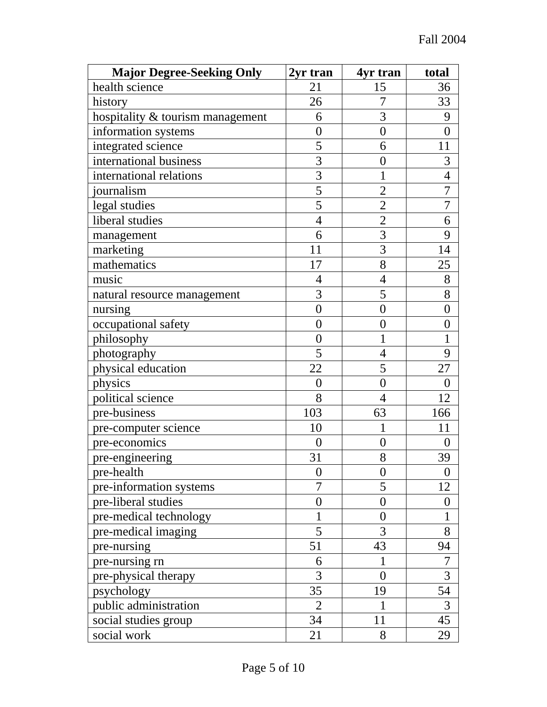| <b>Major Degree-Seeking Only</b> | 2yr tran         | 4yr tran         | total            |
|----------------------------------|------------------|------------------|------------------|
| health science                   | 21               | 15               | 36               |
| history                          | 26               | 7                | 33               |
| hospitality & tourism management | 6                | 3                | 9                |
| information systems              | $\overline{0}$   | $\overline{0}$   | $\overline{0}$   |
| integrated science               | 5                | 6                | 11               |
| international business           | 3                | $\overline{0}$   | 3                |
| international relations          | $\overline{3}$   | $\mathbf 1$      | $\overline{4}$   |
| journalism                       | $\overline{5}$   | $\overline{2}$   | 7                |
| legal studies                    | $\overline{5}$   | $\overline{2}$   | $\overline{7}$   |
| liberal studies                  | $\overline{4}$   | $\overline{2}$   | 6                |
| management                       | 6                | 3                | 9                |
| marketing                        | 11               | 3                | 14               |
| mathematics                      | 17               | 8                | 25               |
| music                            | $\overline{4}$   | $\overline{4}$   | 8                |
| natural resource management      | 3                | 5                | 8                |
| nursing                          | $\overline{0}$   | $\overline{0}$   | $\boldsymbol{0}$ |
| occupational safety              | $\overline{0}$   | $\overline{0}$   | $\boldsymbol{0}$ |
| philosophy                       | $\overline{0}$   | 1                | 1                |
| photography                      | 5                | $\overline{4}$   | 9                |
| physical education               | 22               | 5                | 27               |
| physics                          | $\overline{0}$   | $\overline{0}$   | $\overline{0}$   |
| political science                | 8                | 4                | 12               |
| pre-business                     | 103              | 63               | 166              |
| pre-computer science             | 10               | 1                | 11               |
| pre-economics                    | $\boldsymbol{0}$ | $\overline{0}$   | $\overline{0}$   |
| pre-engineering                  | 31               | 8                | 39               |
| pre-health                       | $\boldsymbol{0}$ | $\boldsymbol{0}$ | $\overline{0}$   |
| pre-information systems          | 7                | 5                | 12               |
| pre-liberal studies              | $\boldsymbol{0}$ | $\overline{0}$   | $\overline{0}$   |
| pre-medical technology           | 1                | $\overline{0}$   |                  |
| pre-medical imaging              | 5                | 3                | 8                |
| pre-nursing                      | 51               | 43               | 94               |
| pre-nursing rn                   | 6                | 1                | 7                |
| pre-physical therapy             | 3                | $\overline{0}$   | 3                |
| psychology                       | 35               | 19               | 54               |
| public administration            | $\overline{2}$   |                  | 3                |
| social studies group             | 34               | 11               | 45               |
| social work                      | 21               | 8                | 29               |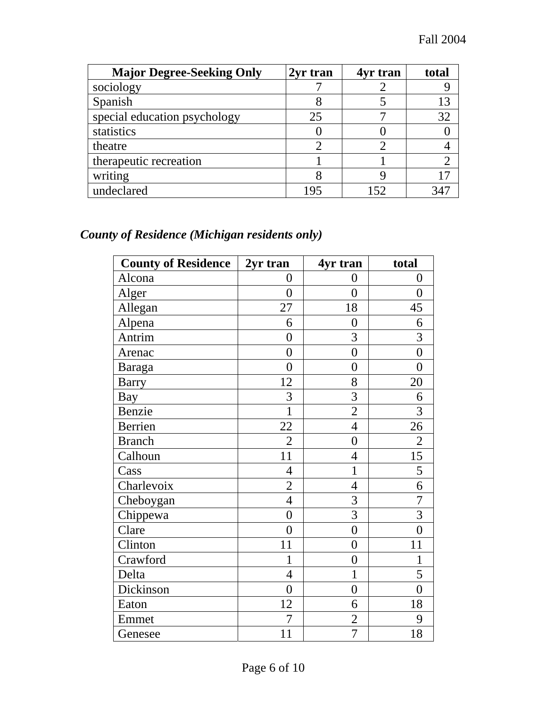| <b>Major Degree-Seeking Only</b> | 2yr tran | 4yr tran | total |
|----------------------------------|----------|----------|-------|
| sociology                        |          |          |       |
| Spanish                          |          |          |       |
| special education psychology     | 25       |          |       |
| statistics                       |          |          |       |
| theatre                          |          |          |       |
| therapeutic recreation           |          |          |       |
| writing                          |          |          | רו    |
| undeclared                       | 195      |          |       |

# *County of Residence (Michigan residents only)*

| <b>County of Residence</b> | 2yr tran         | 4yr tran         | total          |
|----------------------------|------------------|------------------|----------------|
| Alcona                     | $\boldsymbol{0}$ | $\boldsymbol{0}$ | $\overline{0}$ |
| Alger                      | $\overline{0}$   | $\overline{0}$   | $\overline{0}$ |
| Allegan                    | 27               | 18               | 45             |
| Alpena                     | 6                | $\overline{0}$   | 6              |
| Antrim                     | $\overline{0}$   | 3                | 3              |
| Arenac                     | $\overline{0}$   | $\overline{0}$   | $\overline{0}$ |
| Baraga                     | $\overline{0}$   | $\overline{0}$   | $\theta$       |
| <b>Barry</b>               | 12               | 8                | 20             |
| <b>Bay</b>                 | 3                | 3                | 6              |
| Benzie                     | $\mathbf{1}$     | $\overline{2}$   | 3              |
| <b>Berrien</b>             | 22               | $\overline{4}$   | 26             |
| <b>Branch</b>              | $\overline{2}$   | $\overline{0}$   | $\overline{2}$ |
| Calhoun                    | 11               | $\overline{4}$   | 15             |
| Cass                       | $\overline{4}$   | $\overline{1}$   | 5              |
| Charlevoix                 | $\overline{2}$   | 4                | 6              |
| Cheboygan                  | $\overline{4}$   | 3                | 7              |
| Chippewa                   | $\overline{0}$   | 3                | $\overline{3}$ |
| Clare                      | $\boldsymbol{0}$ | $\overline{0}$   | $\overline{0}$ |
| Clinton                    | 11               | $\overline{0}$   | 11             |
| Crawford                   | 1                | $\overline{0}$   | $\mathbf{1}$   |
| Delta                      | $\overline{4}$   | $\mathbf{1}$     | 5              |
| Dickinson                  | $\boldsymbol{0}$ | $\overline{0}$   | $\overline{0}$ |
| Eaton                      | 12               | 6                | 18             |
| Emmet                      | 7                | $\overline{2}$   | 9              |
| Genesee                    | 11               | 7                | 18             |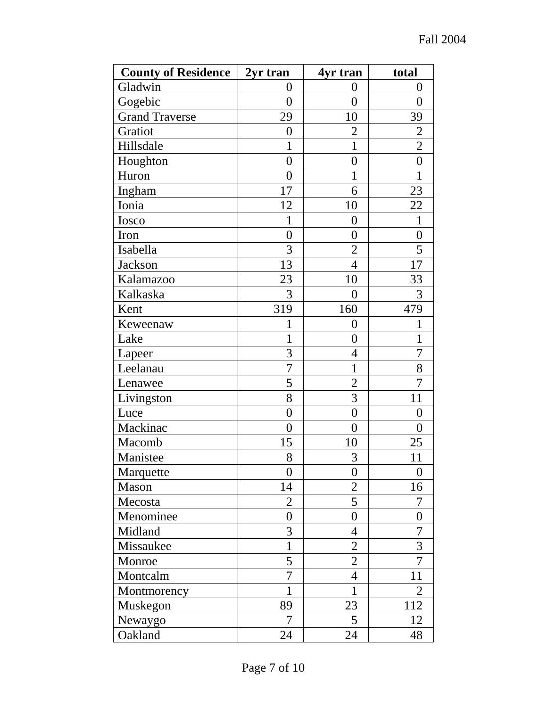| <b>County of Residence</b> | 2yr tran       | 4yr tran         | total            |
|----------------------------|----------------|------------------|------------------|
| Gladwin                    | $\overline{0}$ | $\overline{0}$   | $\overline{0}$   |
| Gogebic                    | $\overline{0}$ | $\overline{0}$   | $\overline{0}$   |
| <b>Grand Traverse</b>      | 29             | 10               | 39               |
| Gratiot                    | $\overline{0}$ | $\overline{2}$   | $\overline{2}$   |
| Hillsdale                  | 1              | 1                | $\overline{2}$   |
| Houghton                   | $\overline{0}$ | $\boldsymbol{0}$ | $\overline{0}$   |
| Huron                      | $\overline{0}$ | $\mathbf 1$      | $\mathbf{1}$     |
| Ingham                     | 17             | 6                | 23               |
| Ionia                      | 12             | 10               | 22               |
| Iosco                      | 1              | $\boldsymbol{0}$ | $\mathbf{1}$     |
| Iron                       | $\overline{0}$ | $\boldsymbol{0}$ | $\boldsymbol{0}$ |
| Isabella                   | 3              | $\overline{2}$   | 5                |
| Jackson                    | 13             | $\overline{4}$   | 17               |
| Kalamazoo                  | 23             | 10               | 33               |
| Kalkaska                   | 3              | $\overline{0}$   | 3                |
| Kent                       | 319            | 160              | 479              |
| Keweenaw                   | 1              | $\overline{0}$   | 1                |
| Lake                       | 1              | $\overline{0}$   | 1                |
| Lapeer                     | 3              | 4                | 7                |
| Leelanau                   | $\overline{7}$ | 1                | 8                |
| Lenawee                    | 5              | $\overline{2}$   | 7                |
| Livingston                 | 8              | 3                | 11               |
| Luce                       | $\overline{0}$ | $\overline{0}$   | $\overline{0}$   |
| Mackinac                   | $\overline{0}$ | $\overline{0}$   | $\overline{0}$   |
| Macomb                     | 15             | 10               | 25               |
| Manistee                   | 8              | 3                | 11               |
| Marquette                  | $\overline{0}$ | $\boldsymbol{0}$ | 0                |
| Mason                      | 14             | $\overline{2}$   | 16               |
| Mecosta                    | $\overline{2}$ | 5                | 7                |
| Menominee                  | $\overline{0}$ | $\boldsymbol{0}$ | $\overline{0}$   |
| Midland                    | 3              | $\overline{4}$   | 7                |
| Missaukee                  | $\mathbf{1}$   | $\overline{2}$   | 3                |
| Monroe                     | 5              | $\overline{2}$   | $\overline{7}$   |
| Montcalm                   | 7              | $\overline{4}$   | 11               |
| Montmorency                | 1              | 1                | 2                |
| Muskegon                   | 89             | 23               | 112              |
| Newaygo                    | 7              | 5                | 12               |
| Oakland                    | 24             | 24               | 48               |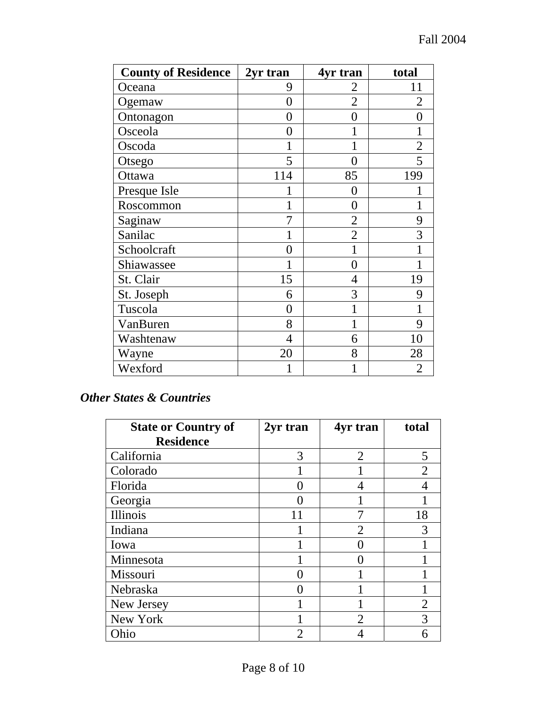| <b>County of Residence</b> | 2yr tran       | 4yr tran       | total          |
|----------------------------|----------------|----------------|----------------|
| Oceana                     | 9              | 2              | 11             |
| Ogemaw                     | 0              | $\overline{2}$ | $\overline{2}$ |
| Ontonagon                  | 0              | 0              |                |
| Osceola                    | 0              |                |                |
| Oscoda                     | 1              | 1              | $\overline{2}$ |
| Otsego                     | 5              | $\overline{0}$ | $\overline{5}$ |
| Ottawa                     | 114            | 85             | 199            |
| Presque Isle               |                | 0              |                |
| Roscommon                  |                | $\overline{0}$ |                |
| Saginaw                    |                | $\overline{2}$ | 9              |
| Sanilac                    |                | $\overline{2}$ | 3              |
| Schoolcraft                | $\Omega$       | 1              |                |
| Shiawassee                 |                | 0              |                |
| St. Clair                  | 15             | $\overline{4}$ | 19             |
| St. Joseph                 | 6              | 3              | 9              |
| Tuscola                    | $\theta$       | 1              |                |
| VanBuren                   | 8              |                | 9              |
| Washtenaw                  | $\overline{4}$ | 6              | 10             |
| Wayne                      | 20             | 8              | 28             |
| Wexford                    |                | 1              | 2              |

#### *Other States & Countries*

| <b>State or Country of</b> | 2yr tran | 4yr tran       | total                 |
|----------------------------|----------|----------------|-----------------------|
| <b>Residence</b>           |          |                |                       |
| California                 | 3        | $\overline{2}$ |                       |
| Colorado                   |          |                |                       |
| Florida                    |          | 4              |                       |
| Georgia                    |          |                |                       |
| Illinois                   | 11       |                | 18                    |
| Indiana                    |          | $\overline{2}$ |                       |
| Iowa                       |          |                |                       |
| Minnesota                  |          |                |                       |
| Missouri                   |          |                |                       |
| Nebraska                   |          |                |                       |
| New Jersey                 |          |                | $\mathcal{D}_{\cdot}$ |
| New York                   |          | 2              |                       |
| Ohio                       | 2        |                |                       |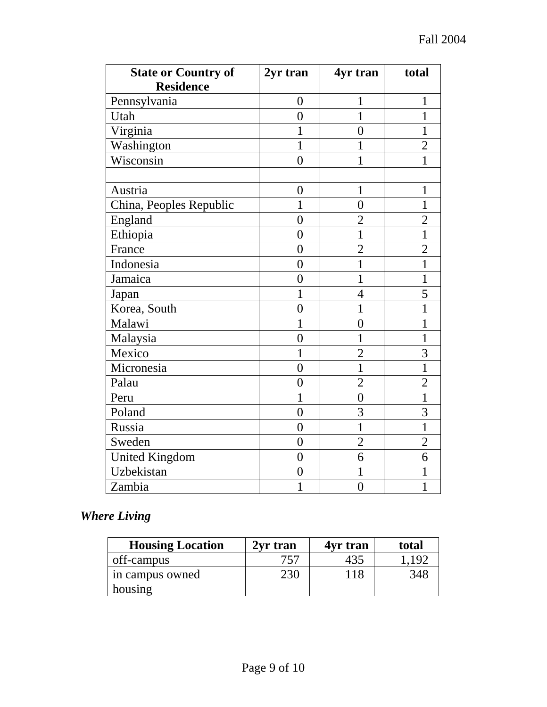| <b>State or Country of</b><br><b>Residence</b> | 2yr tran       | 4yr tran       | total          |
|------------------------------------------------|----------------|----------------|----------------|
| Pennsylvania                                   | $\overline{0}$ | $\mathbf{1}$   | 1              |
| Utah                                           | $\overline{0}$ | $\mathbf{1}$   | 1              |
| Virginia                                       | 1              | $\overline{0}$ | 1              |
| Washington                                     | 1              | 1              | $\overline{2}$ |
| Wisconsin                                      | $\overline{0}$ | $\mathbf{1}$   | 1              |
|                                                |                |                |                |
| Austria                                        | $\overline{0}$ | $\mathbf{1}$   | $\mathbf{1}$   |
| China, Peoples Republic                        | $\mathbf{1}$   | $\overline{0}$ | $\mathbf{1}$   |
| England                                        | $\theta$       | $\overline{2}$ | $\overline{2}$ |
| Ethiopia                                       | $\overline{0}$ | $\mathbf{1}$   | $\mathbf{1}$   |
| France                                         | $\overline{0}$ | $\overline{2}$ | $\overline{2}$ |
| Indonesia                                      | $\overline{0}$ | $\mathbf{1}$   | 1              |
| Jamaica                                        | $\overline{0}$ | $\mathbf{1}$   | $\mathbf{1}$   |
| Japan                                          | 1              | $\overline{4}$ | 5              |
| Korea, South                                   | $\overline{0}$ | $\mathbf{1}$   | 1              |
| Malawi                                         | 1              | $\overline{0}$ | 1              |
| Malaysia                                       | $\overline{0}$ | 1              | 1              |
| Mexico                                         | $\mathbf{1}$   | $\overline{2}$ | 3              |
| Micronesia                                     | $\overline{0}$ | $\mathbf{1}$   | 1              |
| Palau                                          | $\overline{0}$ | $\overline{2}$ | $\overline{2}$ |
| Peru                                           | $\mathbf 1$    | $\overline{0}$ | $\mathbf 1$    |
| Poland                                         | $\theta$       | 3              | 3              |
| Russia                                         | $\overline{0}$ | 1              | 1              |
| Sweden                                         | $\overline{0}$ | $\overline{2}$ | $\overline{2}$ |
| <b>United Kingdom</b>                          | $\overline{0}$ | 6              | 6              |
| Uzbekistan                                     | $\overline{0}$ | $\mathbf{1}$   | 1              |
| Zambia                                         | $\mathbf 1$    | $\overline{0}$ | $\mathbf{1}$   |

# *Where Living*

| <b>Housing Location</b> | 2yr tran | 4yr tran | total |
|-------------------------|----------|----------|-------|
| off-campus              | 757      | 435      | . 197 |
| in campus owned         | 230      | 118      | 348   |
| housing                 |          |          |       |